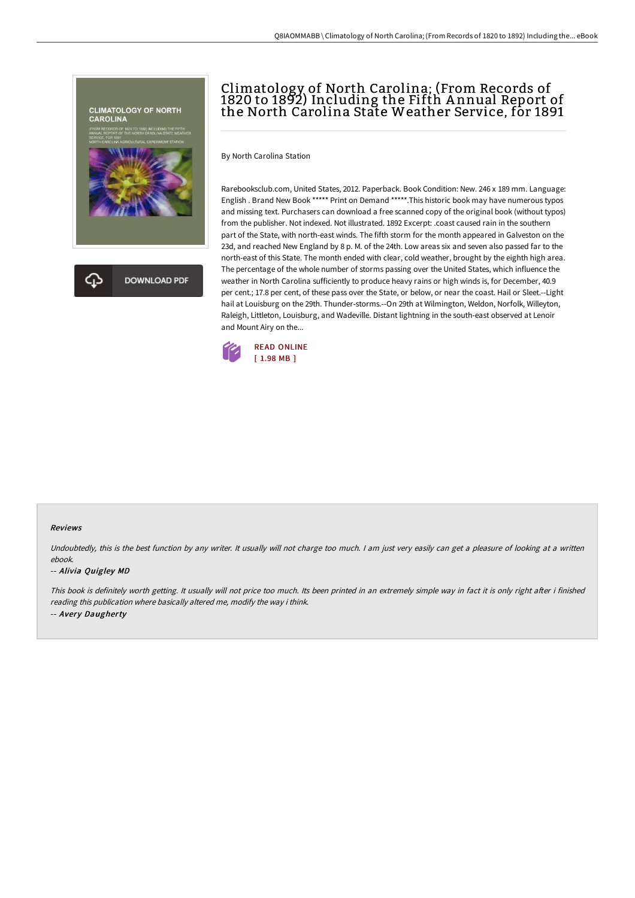

# Climatology of North Carolina; (From Records of 1820 to 1892) Including the Fifth A nnual Report of the North Carolina State Weather Service, for 1891

By North Carolina Station

Rarebooksclub.com, United States, 2012. Paperback. Book Condition: New. 246 x 189 mm. Language: English . Brand New Book \*\*\*\*\* Print on Demand \*\*\*\*\*.This historic book may have numerous typos and missing text. Purchasers can download a free scanned copy of the original book (without typos) from the publisher. Not indexed. Not illustrated. 1892 Excerpt: .coast caused rain in the southern part of the State, with north-east winds. The fifth storm for the month appeared in Galveston on the 23d, and reached New England by 8 p. M. of the 24th. Low areas six and seven also passed far to the north-east of this State. The month ended with clear, cold weather, brought by the eighth high area. The percentage of the whole number of storms passing over the United States, which influence the weather in North Carolina sufficiently to produce heavy rains or high winds is, for December, 40.9 per cent.; 17.8 per cent, of these pass over the State, or below, or near the coast. Hail or Sleet.--Light hail at Louisburg on the 29th. Thunder-storms.--On 29th at Wilmington, Weldon, Norfolk, Willeyton, Raleigh, Littleton, Louisburg, and Wadeville. Distant lightning in the south-east observed at Lenoir and Mount Airy on the...



#### Reviews

Undoubtedly, this is the best function by any writer. It usually will not charge too much. I am just very easily can get a pleasure of looking at a written ebook.

#### -- Alivia Quigley MD

This book is definitely worth getting. It usually will not price too much. Its been printed in an extremely simple way in fact it is only right after i finished reading this publication where basically altered me, modify the way i think. -- Avery Daugherty